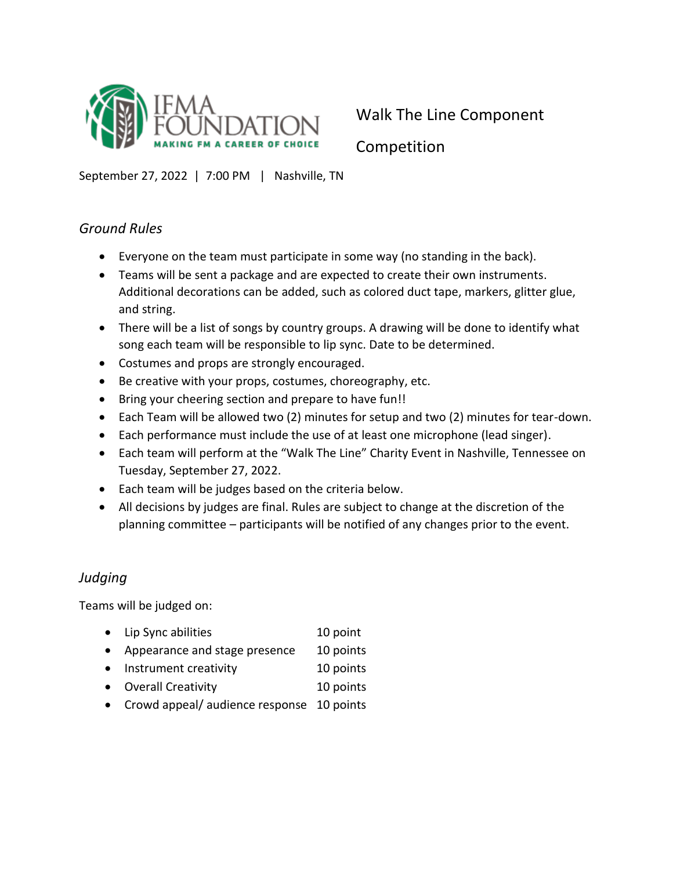

Competition

September 27, 2022 | 7:00 PM | Nashville, TN

### *Ground Rules*

- Everyone on the team must participate in some way (no standing in the back).
- Teams will be sent a package and are expected to create their own instruments. Additional decorations can be added, such as colored duct tape, markers, glitter glue, and string.
- There will be a list of songs by country groups. A drawing will be done to identify what song each team will be responsible to lip sync. Date to be determined.
- Costumes and props are strongly encouraged.
- Be creative with your props, costumes, choreography, etc.
- Bring your cheering section and prepare to have fun!!
- Each Team will be allowed two (2) minutes for setup and two (2) minutes for tear-down.
- Each performance must include the use of at least one microphone (lead singer).
- Each team will perform at the "Walk The Line" Charity Event in Nashville, Tennessee on Tuesday, September 27, 2022.
- Each team will be judges based on the criteria below.
- All decisions by judges are final. Rules are subject to change at the discretion of the planning committee – participants will be notified of any changes prior to the event.

## *Judging*

Teams will be judged on:

- Lip Sync abilities 10 point
- Appearance and stage presence 10 points
- Instrument creativity 10 points
- Overall Creativity 10 points
- Crowd appeal/ audience response 10 points